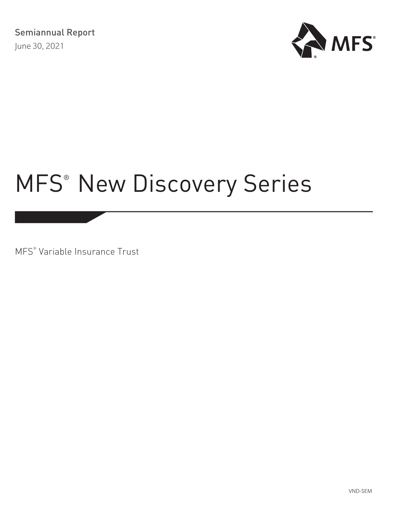

# MFS<sup>®</sup> [New Discovery Series](#page-1-0)

MFS® Variable Insurance Trust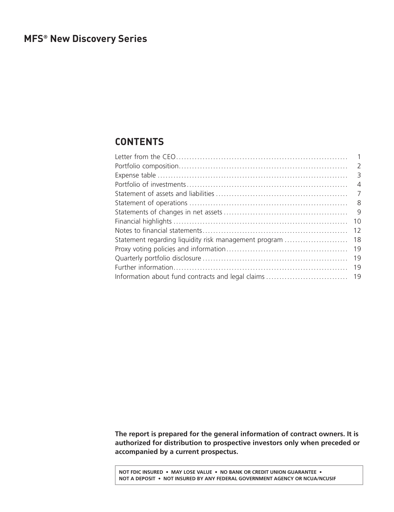# <span id="page-1-0"></span>**CONTENTS**

|                                                       | $\overline{2}$ |
|-------------------------------------------------------|----------------|
|                                                       |                |
|                                                       | $\overline{A}$ |
|                                                       | $\overline{7}$ |
|                                                       | - 8            |
|                                                       | -9             |
|                                                       | 10             |
|                                                       | 12             |
| Statement regarding liquidity risk management program | 18             |
|                                                       | 19             |
|                                                       | 19             |
|                                                       | 19             |
|                                                       |                |
|                                                       |                |

**The report is prepared for the general information of contract owners. It is authorized for distribution to prospective investors only when preceded or accompanied by a current prospectus.**

**NOT FDIC INSURED • MAY LOSE VALUE • NO BANK OR CREDIT UNION GUARANTEE • NOT A DEPOSIT • NOT INSURED BY ANY FEDERAL GOVERNMENT AGENCY OR NCUA/NCUSIF**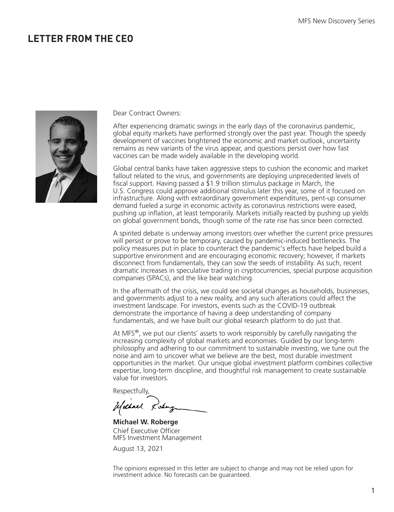# <span id="page-2-0"></span>**LETTER FROM THE CEO**



Dear Contract Owners:

After experiencing dramatic swings in the early days of the coronavirus pandemic, global equity markets have performed strongly over the past year. Though the speedy development of vaccines brightened the economic and market outlook, uncertainty remains as new variants of the virus appear, and questions persist over how fast vaccines can be made widely available in the developing world.

Global central banks have taken aggressive steps to cushion the economic and market fallout related to the virus, and governments are deploying unprecedented levels of fiscal support. Having passed a  $\overline{2}1.9$  trillion stimulus package in March, the U.S. Congress could approve additional stimulus later this year, some of it focused on infrastructure. Along with extraordinary government expenditures, pent-up consumer demand fueled a surge in economic activity as coronavirus restrictions were eased, pushing up inflation, at least temporarily. Markets initially reacted by pushing up yields on global government bonds, though some of the rate rise has since been corrected.

A spirited debate is underway among investors over whether the current price pressures will persist or prove to be temporary, caused by pandemic-induced bottlenecks. The policy measures put in place to counteract the pandemic's effects have helped build a supportive environment and are encouraging economic recovery; however, if markets disconnect from fundamentals, they can sow the seeds of instability. As such, recent dramatic increases in speculative trading in cryptocurrencies, special purpose acquisition companies (SPACs), and the like bear watching.

In the aftermath of the crisis, we could see societal changes as households, businesses, and governments adjust to a new reality, and any such alterations could affect the investment landscape. For investors, events such as the COVID-19 outbreak demonstrate the importance of having a deep understanding of company fundamentals, and we have built our global research platform to do just that.

At MFS $^{\circ}$ , we put our clients' assets to work responsibly by carefully navigating the increasing complexity of global markets and economies. Guided by our long-term philosophy and adhering to our commitment to sustainable investing, we tune out the noise and aim to uncover what we believe are the best, most durable investment opportunities in the market. Our unique global investment platform combines collective expertise, long-term discipline, and thoughtful risk management to create sustainable value for investors.

Respectfully,

Uschnel Losing

**Michael W. Roberge** Chief Executive Officer MFS Investment Management

August 13, 2021

The opinions expressed in this letter are subject to change and may not be relied upon for investment advice. No forecasts can be guaranteed.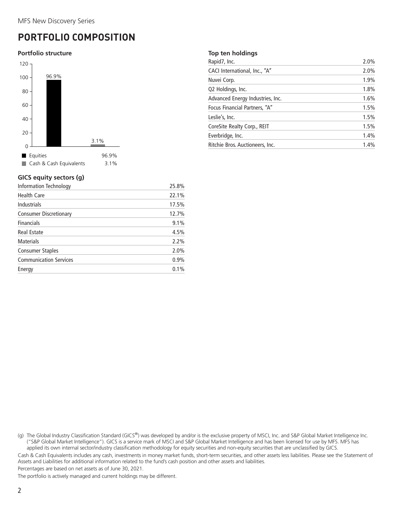# <span id="page-3-0"></span>**PORTFOLIO COMPOSITION**

#### **Portfolio structure**



## **GICS equity sectors (g)**

| <b>Information Technology</b> | 25.8% |
|-------------------------------|-------|
| <b>Health Care</b>            | 22.1% |
| <b>Industrials</b>            | 17.5% |
| <b>Consumer Discretionary</b> | 12.7% |
| <b>Financials</b>             | 9.1%  |
| <b>Real Estate</b>            | 4.5%  |
| <b>Materials</b>              | 2.2%  |
| Consumer Staples              | 2.0%  |
| <b>Communication Services</b> | 0.9%  |
| Energy                        | 0.1%  |
|                               |       |

#### **Top ten holdings**

| Rapid7, Inc.                     | 2.0% |
|----------------------------------|------|
| CACI International, Inc., "A"    | 2.0% |
| Nuvei Corp.                      | 1.9% |
| Q2 Holdings, Inc.                | 1.8% |
| Advanced Energy Industries, Inc. | 1.6% |
| Focus Financial Partners, "A"    | 1.5% |
| Leslie's, Inc.                   | 1.5% |
| CoreSite Realty Corp., REIT      | 1.5% |
| Everbridge, Inc.                 | 1.4% |
| Ritchie Bros. Auctioneers, Inc.  | 1.4% |

(g) The Global Industry Classification Standard (GICS®) was developed by and/or is the exclusive property of MSCI, Inc. and S&P Global Market Intelligence Inc. ("S&P Global Market Intelligence"). GICS is a service mark of MSCI and S&P Global Market Intelligence and has been licensed for use by MFS. MFS has applied its own internal sector/industry classification methodology for equity securities and non-equity securities that are unclassified by GICS.

Cash & Cash Equivalents includes any cash, investments in money market funds, short-term securities, and other assets less liabilities. Please see the Statement of Assets and Liabilities for additional information related to the fund's cash position and other assets and liabilities.

Percentages are based on net assets as of June 30, 2021.

The portfolio is actively managed and current holdings may be different.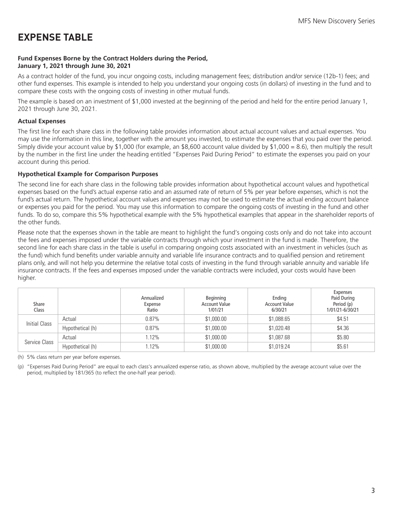# <span id="page-4-0"></span>**EXPENSE TABLE**

## **Fund Expenses Borne by the Contract Holders during the Period, January 1, 2021 through June 30, 2021**

As a contract holder of the fund, you incur ongoing costs, including management fees; distribution and/or service (12b-1) fees; and other fund expenses. This example is intended to help you understand your ongoing costs (in dollars) of investing in the fund and to compare these costs with the ongoing costs of investing in other mutual funds.

The example is based on an investment of \$1,000 invested at the beginning of the period and held for the entire period January 1, 2021 through June 30, 2021.

## **Actual Expenses**

The first line for each share class in the following table provides information about actual account values and actual expenses. You may use the information in this line, together with the amount you invested, to estimate the expenses that you paid over the period. Simply divide your account value by \$1,000 (for example, an \$8,600 account value divided by \$1,000 = 8.6), then multiply the result by the number in the first line under the heading entitled "Expenses Paid During Period" to estimate the expenses you paid on your account during this period.

## **Hypothetical Example for Comparison Purposes**

The second line for each share class in the following table provides information about hypothetical account values and hypothetical expenses based on the fund's actual expense ratio and an assumed rate of return of 5% per year before expenses, which is not the fund's actual return. The hypothetical account values and expenses may not be used to estimate the actual ending account balance or expenses you paid for the period. You may use this information to compare the ongoing costs of investing in the fund and other funds. To do so, compare this 5% hypothetical example with the 5% hypothetical examples that appear in the shareholder reports of the other funds.

Please note that the expenses shown in the table are meant to highlight the fund's ongoing costs only and do not take into account the fees and expenses imposed under the variable contracts through which your investment in the fund is made. Therefore, the second line for each share class in the table is useful in comparing ongoing costs associated with an investment in vehicles (such as the fund) which fund benefits under variable annuity and variable life insurance contracts and to qualified pension and retirement plans only, and will not help you determine the relative total costs of investing in the fund through variable annuity and variable life insurance contracts. If the fees and expenses imposed under the variable contracts were included, your costs would have been higher.

| Share<br>Class |                  | Annualized<br>Expense<br>Ratio | Beginning<br><b>Account Value</b><br>1/01/21 | Ending<br><b>Account Value</b><br>6/30/21 | Expenses<br>Paid During<br>Period (p)<br>1/01/21-6/30/21 |
|----------------|------------------|--------------------------------|----------------------------------------------|-------------------------------------------|----------------------------------------------------------|
| Initial Class  | Actual           | 0.87%                          | \$1,000.00                                   | \$1,088.65                                | \$4.51                                                   |
|                | Hypothetical (h) | 0.87%                          | \$1,000.00                                   | \$1,020.48                                | \$4.36                                                   |
|                | Actual           | 1.12%                          | \$1,000.00                                   | \$1,087.68                                | \$5.80                                                   |
| Service Class  | Hypothetical (h) | 1.12%                          | \$1,000.00                                   | \$1,019.24                                | \$5.61                                                   |

(h) 5% class return per year before expenses.

(p) "Expenses Paid During Period" are equal to each class's annualized expense ratio, as shown above, multiplied by the average account value over the period, multiplied by 181/365 (to reflect the one-half year period).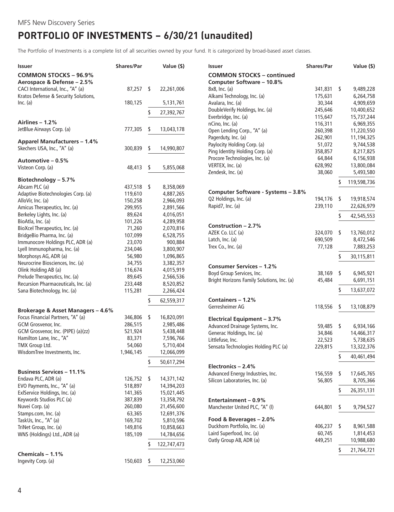# <span id="page-5-0"></span>**PORTFOLIO OF INVESTMENTS − 6/30/21 (unaudited)**

The Portfolio of Investments is a complete list of all securities owned by your fund. It is categorized by broad-based asset classes.

| <b>Issuer</b>                                                             | <b>Shares/Par</b> | Value (\$)        |
|---------------------------------------------------------------------------|-------------------|-------------------|
| <b>COMMON STOCKS - 96.9%</b><br>Aerospace & Defense - 2.5%                |                   |                   |
| CACI International, Inc., "A" (a)<br>Kratos Defense & Security Solutions, | 87,257            | \$<br>22,261,006  |
| Inc. (a)                                                                  | 180,125           | 5,131,761         |
|                                                                           |                   | \$<br>27,392,767  |
| Airlines - 1.2%                                                           |                   |                   |
| JetBlue Airways Corp. (a)                                                 | 777,305           | \$<br>13,043,178  |
| <b>Apparel Manufacturers - 1.4%</b>                                       |                   |                   |
| Skechers USA, Inc., "A" (a)                                               | 300,839           | \$<br>14,990,807  |
| Automotive - 0.5%                                                         |                   |                   |
| Visteon Corp. (a)                                                         | 48,413            | \$<br>5,855,068   |
| Biotechnology - 5.7%                                                      |                   |                   |
| Abcam PLC (a)                                                             | 437,518           | \$<br>8,358,069   |
| Adaptive Biotechnologies Corp. (a)                                        | 119,610           | 4,887,265         |
| AlloVir, Inc. (a)                                                         | 150,258           | 2,966,093         |
| Amicus Therapeutics, Inc. (a)                                             | 299,955           | 2,891,566         |
| Berkeley Lights, Inc. (a)                                                 | 89,624            | 4,016,051         |
| BioAtla, Inc. (a)                                                         | 101,226           | 4,289,958         |
| BioXcel Therapeutics, Inc. (a)                                            | 71,260            | 2,070,816         |
| BridgeBio Pharma, Inc. (a)                                                | 107,099           | 6,528,755         |
| Immunocore Holdings PLC, ADR (a)                                          | 23,070            | 900,884           |
| Lyell Immunopharma, Inc. (a)                                              | 234,046           | 3,800,907         |
| Morphosys AG, ADR (a)                                                     | 56,980            | 1,096,865         |
| Neurocrine Biosciences, Inc. (a)                                          | 34,755            | 3,382,357         |
| Olink Holding AB (a)                                                      | 116,674           | 4,015,919         |
| Prelude Therapeutics, Inc. (a)                                            | 89,645            | 2,566,536         |
| Recursion Pharmaceuticals, Inc. (a)                                       | 233,448           | 8,520,852         |
| Sana Biotechnology, Inc. (a)                                              | 115,281           | 2,266,424         |
|                                                                           |                   | \$<br>62,559,317  |
| Brokerage & Asset Managers - 4.6%                                         |                   |                   |
| Focus Financial Partners, "A" (a)                                         | 346,806           | \$<br>16,820,091  |
| GCM Grosvenor, Inc.                                                       | 286,515           | 2,985,486         |
| GCM Grosvenor, Inc. (PIPE) (a)(zz)                                        | 521,924           | 5,438,448         |
| Hamilton Lane, Inc., "A"                                                  | 83,371            | 7,596,766         |
| TMX Group Ltd.                                                            | 54,060            | 5,710,404         |
| WisdomTree Investments, Inc.                                              | 1,946,145         | 12,066,099        |
|                                                                           |                   | \$<br>50,617,294  |
| <b>Business Services - 11.1%</b>                                          |                   |                   |
| Endava PLC, ADR (a)                                                       | 126,752           | \$<br>14,371,142  |
| EVO Payments, Inc., "A" (a)                                               | 518,897           | 14,394,203        |
| ExlService Holdings, Inc. (a)                                             | 141,365           | 15,021,445        |
| Keywords Studios PLC (a)                                                  | 387,839           | 13,358,792        |
| Nuvei Corp. (a)                                                           | 260,080           | 21,456,600        |
| Stamps.com, Inc. (a)                                                      | 63,365            | 12,691,376        |
| TaskUs, Inc., "A" (a)                                                     | 169,702           | 5,810,596         |
| TriNet Group, Inc. (a)                                                    | 149,816           | 10,858,663        |
| WNS (Holdings) Ltd., ADR (a)                                              | 185,109           | 14,784,656        |
|                                                                           |                   | \$<br>122,747,473 |
| Chemicals $-1.1%$                                                         |                   |                   |
| Ingevity Corp. (a)                                                        | 150,603           | \$<br>12,253,060  |

| <b>Issuer</b>                                               | <b>Shares/Par</b>  | Value (\$)                     |
|-------------------------------------------------------------|--------------------|--------------------------------|
| <b>COMMON STOCKS - continued</b>                            |                    |                                |
| Computer Software - 10.8%                                   |                    |                                |
| 8x8, Inc. (a)                                               | 341,831            | \$<br>9,489,228                |
| Alkami Technology, Inc. (a)                                 | 175,631            | 6,264,758                      |
| Avalara, Inc. (a)                                           | 30,344             | 4,909,659                      |
| DoubleVerify Holdings, Inc. (a)                             | 245,646            | 10,400,652                     |
| Everbridge, Inc. (a)<br>nCino, Inc. (a)                     | 115,647<br>116,311 | 15,737,244<br>6,969,355        |
| Open Lending Corp., "A" (a)                                 | 260,398            | 11,220,550                     |
| Pagerduty, Inc. (a)                                         | 262,901            | 11,194,325                     |
| Paylocity Holding Corp. (a)                                 | 51,072             | 9,744,538                      |
| Ping Identity Holding Corp. (a)                             | 358,857            | 8,217,825                      |
| Procore Technologies, Inc. (a)                              | 64,844             | 6,156,938                      |
| VERTEX, Inc. (a)                                            | 628,992            | 13,800,084                     |
| Zendesk, Inc. (a)                                           | 38,060             | 5,493,580                      |
|                                                             |                    | \$<br>119,598,736              |
|                                                             |                    |                                |
| Computer Software - Systems - 3.8%<br>Q2 Holdings, Inc. (a) |                    |                                |
| Rapid7, Inc. (a)                                            | 194,176<br>239,110 | \$<br>19,918,574<br>22,626,979 |
|                                                             |                    |                                |
|                                                             |                    | \$<br>42,545,553               |
| Construction - 2.7%                                         |                    |                                |
| AZEK Co. LLC (a)                                            | 324,070            | \$<br>13,760,012               |
| Latch, Inc. (a)                                             | 690,509            | 8,472,546                      |
| Trex Co., Inc. (a)                                          | 77,128             | 7,883,253                      |
|                                                             |                    | \$<br>30,115,811               |
| Consumer Services – 1.2%                                    |                    |                                |
| Boyd Group Services, Inc.                                   | 38,169             | \$<br>6,945,921                |
| Bright Horizons Family Solutions, Inc. (a)                  | 45,484             | 6,691,151                      |
|                                                             |                    | \$                             |
|                                                             |                    | 13,637,072                     |
| Containers - 1.2%                                           |                    |                                |
| Gerresheimer AG                                             | 118,556            | \$<br>13,108,879               |
| Electrical Equipment - 3.7%                                 |                    |                                |
| Advanced Drainage Systems, Inc.                             | 59,485             | \$<br>6,934,166                |
| Generac Holdings, Inc. (a)                                  | 34,846             | 14,466,317                     |
| Littlefuse, Inc.                                            | 22,523             | 5,738,635                      |
| Sensata Technologies Holding PLC (a)                        | 229,815            | 13,322,376                     |
|                                                             |                    | \$<br>40,461,494               |
|                                                             |                    |                                |
| Electronics - 2.4%                                          |                    |                                |
| Advanced Energy Industries, Inc.                            | 156,559            | \$<br>17,645,765               |
| Silicon Laboratories, Inc. (a)                              | 56,805             | 8,705,366                      |
|                                                             |                    | \$<br>26,351,131               |
| Entertainment – 0.9%                                        |                    |                                |
| Manchester United PLC, "A" (I)                              | 644,801            | \$<br>9,794,527                |
|                                                             |                    |                                |
| Food & Beverages - 2.0%                                     |                    |                                |
| Duckhorn Portfolio, Inc. (a)                                | 406,237            | \$<br>8,961,588                |
| Laird Superfood, Inc. (a)                                   | 60,745             | 1,814,453                      |
| Oatly Group AB, ADR (a)                                     | 449,251            | 10,988,680                     |
|                                                             |                    | \$<br>21,764,721               |
|                                                             |                    |                                |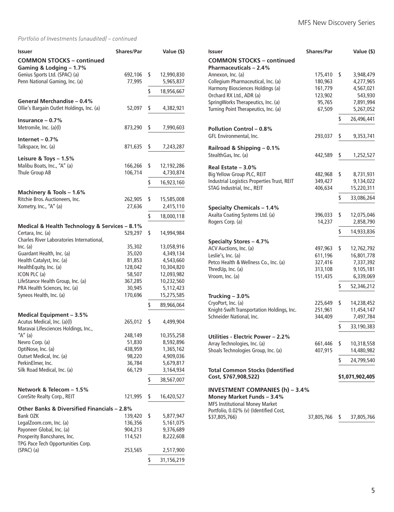## *Portfolio of Investments (unaudited) – continued*

| <b>Issuer</b>                                                       | <b>Shares/Par</b> | Value (\$)                    |
|---------------------------------------------------------------------|-------------------|-------------------------------|
| <b>COMMON STOCKS - continued</b><br>Gaming & Lodging - 1.7%         |                   |                               |
| Genius Sports Ltd. (SPAC) (a)<br>Penn National Gaming, Inc. (a)     | 692,106<br>77,995 | \$<br>12,990,830<br>5,965,837 |
|                                                                     |                   | \$<br>18,956,667              |
| General Merchandise - 0.4%                                          |                   |                               |
| Ollie's Bargain Outlet Holdings, Inc. (a)                           | 52,097            | \$<br>4,382,921               |
| Insurance $-0.7%$<br>Metromile, Inc. (a)(l)                         | 873,290           | \$<br>7,990,603               |
| Internet $-0.7%$                                                    |                   |                               |
| Talkspace, Inc. (a)                                                 | 871,635           | \$<br>7,243,287               |
| Leisure & Toys - 1.5%                                               |                   |                               |
| Malibu Boats, Inc., "A" (a)                                         | 166,266           | \$<br>12,192,286              |
| Thule Group AB                                                      | 106,714           | 4,730,874                     |
|                                                                     |                   | \$<br>16,923,160              |
| Machinery & Tools - 1.6%                                            |                   |                               |
| Ritchie Bros. Auctioneers, Inc.<br>Xometry, Inc., "A" (a)           | 262,905<br>27,636 | \$<br>15,585,008<br>2,415,110 |
|                                                                     |                   | \$<br>18,000,118              |
| Medical & Health Technology & Services - 8.1%                       |                   |                               |
| Certara, Inc. (a)<br>Charles River Laboratories International,      | 529,297           | \$<br>14,994,984              |
| Inc. (a)                                                            | 35,302            | 13,058,916                    |
| Guardant Health, Inc. (a)                                           | 35,020            | 4,349,134                     |
| Health Catalyst, Inc. (a)                                           | 81,853            | 4,543,660                     |
| HealthEquity, Inc. (a)                                              | 128,042           | 10,304,820                    |
| ICON PLC (a)<br>LifeStance Health Group, Inc. (a)                   | 58,507<br>367,285 | 12,093,982<br>10,232,560      |
| PRA Health Sciences, Inc. (a)                                       | 30,945            | 5,112,423                     |
| Syneos Health, Inc. (a)                                             | 170,696           | 15,275,585                    |
|                                                                     |                   | \$<br>89,966,064              |
| Medical Equipment - 3.5%                                            |                   |                               |
| Acutus Medical, Inc. (a)(l)<br>Maravai Lifesciences Holdings, Inc., | 265,012           | \$<br>4,499,904               |
| "A" (a)                                                             | 248,149           | 10,355,258                    |
| Nevro Corp. (a)                                                     | 51,830            | 8,592,896                     |
| OptiNose, Inc. (a)                                                  | 438,959           | 1,365,162                     |
| Outset Medical, Inc. (a)<br>PerkinElmer, Inc.                       | 98,220<br>36,784  | 4,909,036<br>5,679,817        |
| Silk Road Medical, Inc. (a)                                         | 66,129            | 3,164,934                     |
|                                                                     |                   | \$<br>38,567,007              |
| Network & Telecom - 1.5%                                            |                   |                               |
| CoreSite Realty Corp., REIT                                         | 121,995           | \$<br>16,420,527              |
| Other Banks & Diversified Financials - 2.8%                         |                   |                               |
| Bank OZK                                                            | 139,420           | \$<br>5,877,947               |
| LegalZoom.com, Inc. (a)                                             | 136,356           | 5,161,075                     |
| Payoneer Global, Inc. (a)                                           | 904,213           | 9,376,689                     |
| Prosperity Bancshares, Inc.                                         | 114,521           | 8,222,608                     |
| TPG Pace Tech Opportunities Corp.<br>$(SPAC)$ (a)                   | 253,565           | 2,517,900                     |
|                                                                     |                   |                               |
|                                                                     |                   | \$<br>31,156,219              |

| <b>Issuer</b>                                                        | <b>Shares/Par</b> | Value (\$)       |
|----------------------------------------------------------------------|-------------------|------------------|
| <b>COMMON STOCKS - continued</b>                                     |                   |                  |
| <b>Pharmaceuticals - 2.4%</b>                                        |                   |                  |
| Annexon, Inc. (a)                                                    | 175,410           | \$<br>3,948,479  |
| Collegium Pharmaceutical, Inc. (a)                                   | 180,963           | 4,277,965        |
| Harmony Biosciences Holdings (a)                                     | 161,779           | 4,567,021        |
| Orchard RX Ltd., ADR (a)                                             | 123,902           | 543,930          |
| SpringWorks Therapeutics, Inc. (a)                                   | 95,765            | 7,891,994        |
| Turning Point Therapeutics, Inc. (a)                                 | 67,509            | 5,267,052        |
|                                                                      |                   | \$<br>26,496,441 |
| <b>Pollution Control - 0.8%</b>                                      |                   |                  |
| GFL Environmental, Inc.                                              | 293,037           | \$<br>9,353,741  |
|                                                                      |                   |                  |
| Railroad & Shipping - 0.1%                                           |                   |                  |
| StealthGas, Inc. (a)                                                 | 442,589           | \$<br>1,252,527  |
| Real Estate - 3.0%                                                   |                   |                  |
| Big Yellow Group PLC, REIT                                           | 482,968           | \$<br>8,731,931  |
| Industrial Logistics Properties Trust, REIT                          | 349,427           | 9,134,022        |
| STAG Industrial, Inc., REIT                                          | 406,634           | 15,220,311       |
|                                                                      |                   | \$<br>33,086,264 |
|                                                                      |                   |                  |
| <b>Specialty Chemicals - 1.4%</b><br>Axalta Coating Systems Ltd. (a) | 396,033           | \$<br>12,075,046 |
| Rogers Corp. (a)                                                     | 14,237            | 2,858,790        |
|                                                                      |                   |                  |
|                                                                      |                   | \$<br>14,933,836 |
| <b>Specialty Stores - 4.7%</b>                                       |                   |                  |
| ACV Auctions, Inc. (a)                                               | 497,963           | \$<br>12,762,792 |
| Leslie's, Inc. (a)                                                   | 611,196           | 16,801,778       |
| Petco Health & Wellness Co., Inc. (a)                                | 327,416           | 7,337,392        |
| ThredUp, Inc. (a)                                                    | 313,108           | 9,105,181        |
| Vroom, Inc. (a)                                                      | 151,435           | 6,339,069        |
|                                                                      |                   | \$<br>52,346,212 |
| Trucking $-3.0\%$                                                    |                   |                  |
| CryoPort, Inc. (a)                                                   | 225,649           | \$<br>14,238,452 |
| Knight-Swift Transportation Holdings, Inc.                           | 251,961           | 11,454,147       |
| Schneider National, Inc.                                             | 344,409           | 7,497,784        |
|                                                                      |                   | \$<br>33,190,383 |
|                                                                      |                   |                  |
| Utilities - Electric Power - 2.2%                                    |                   |                  |
| Array Technologies, Inc. (a)                                         | 661,446           | \$<br>10,318,558 |
| Shoals Technologies Group, Inc. (a)                                  | 407,915           | 14,480,982       |
|                                                                      |                   | \$<br>24,799,540 |
| <b>Total Common Stocks (Identified</b>                               |                   |                  |
| Cost, \$767,908,522)                                                 |                   | \$1,071,902,405  |
|                                                                      |                   |                  |
| <b>INVESTMENT COMPANIES (h) - 3.4%</b><br>Money Market Funds - 3.4%  |                   |                  |
| <b>MFS Institutional Money Market</b>                                |                   |                  |
| Portfolio, 0.02% (v) (Identified Cost,                               |                   |                  |
| \$37,805,766)                                                        | 37,805,766        | \$<br>37,805,766 |
|                                                                      |                   |                  |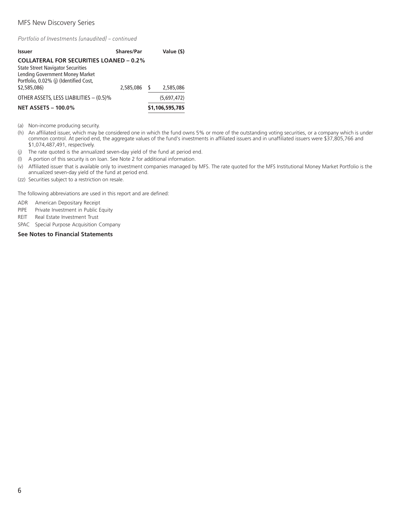# MFS New Discovery Series

*Portfolio of Investments (unaudited) – continued*

| <b>Issuer</b>                                                                                                                                                           | Shares/Par   | Value (\$)      |
|-------------------------------------------------------------------------------------------------------------------------------------------------------------------------|--------------|-----------------|
| <b>COLLATERAL FOR SECURITIES LOANED - 0.2%</b><br><b>State Street Navigator Securities</b><br>Lending Government Money Market<br>Portfolio, 0.02% (j) (Identified Cost, |              |                 |
| \$2,585,086)                                                                                                                                                            | 2,585,086 \$ | 2,585,086       |
| OTHER ASSETS, LESS LIABILITIES - (0.5)%                                                                                                                                 |              | (5.697.472)     |
| <b>NET ASSETS - 100.0%</b>                                                                                                                                              |              | \$1,106,595,785 |

(a) Non-income producing security.

- (h) An affiliated issuer, which may be considered one in which the fund owns 5% or more of the outstanding voting securities, or a company which is under common control. At period end, the aggregate values of the fund's investments in affiliated issuers and in unaffiliated issuers were \$37,805,766 and \$1,074,487,491, respectively.
- (j) The rate quoted is the annualized seven-day yield of the fund at period end.
- (l) A portion of this security is on loan. See Note 2 for additional information.
- (v) Affiliated issuer that is available only to investment companies managed by MFS. The rate quoted for the MFS Institutional Money Market Portfolio is the annualized seven-day yield of the fund at period end.
- (zz) Securities subject to a restriction on resale.

The following abbreviations are used in this report and are defined:

ADR American Depositary Receipt

- PIPE Private Investment in Public Equity
- REIT Real Estate Investment Trust
- SPAC Special Purpose Acquisition Company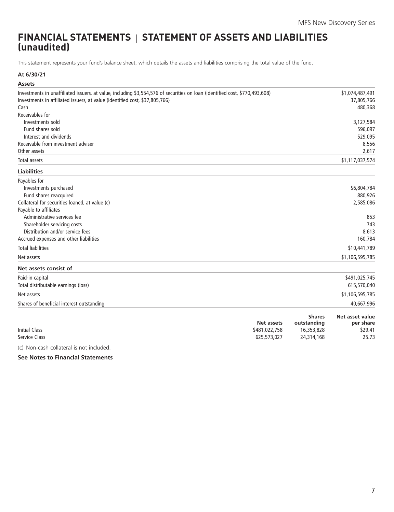# <span id="page-8-0"></span>**FINANCIAL STATEMENTS STATEMENT OF ASSETS AND LIABILITIES (unaudited)**

This statement represents your fund's balance sheet, which details the assets and liabilities comprising the total value of the fund.

## **At 6/30/21**

| <b>Assets</b>                                                                                                               |               |               |                 |
|-----------------------------------------------------------------------------------------------------------------------------|---------------|---------------|-----------------|
| Investments in unaffiliated issuers, at value, including \$3,554,576 of securities on loan (identified cost, \$770,493,608) |               |               | \$1,074,487,491 |
| Investments in affiliated issuers, at value (identified cost, \$37,805,766)                                                 |               |               | 37,805,766      |
| Cash                                                                                                                        |               |               | 480,368         |
| Receivables for                                                                                                             |               |               |                 |
| Investments sold                                                                                                            |               |               | 3,127,584       |
| Fund shares sold                                                                                                            |               |               | 596,097         |
| Interest and dividends                                                                                                      |               |               | 529,095         |
| Receivable from investment adviser                                                                                          |               |               | 8,556           |
| Other assets                                                                                                                |               |               | 2,617           |
| Total assets                                                                                                                |               |               | \$1,117,037,574 |
| <b>Liabilities</b>                                                                                                          |               |               |                 |
| Payables for                                                                                                                |               |               |                 |
| Investments purchased                                                                                                       |               |               | \$6,804,784     |
| Fund shares reacquired                                                                                                      |               |               | 880,926         |
| Collateral for securities loaned, at value (c)                                                                              |               |               | 2,585,086       |
| Payable to affiliates                                                                                                       |               |               |                 |
| Administrative services fee                                                                                                 |               |               | 853             |
| Shareholder servicing costs                                                                                                 |               |               | 743             |
| Distribution and/or service fees                                                                                            |               |               | 8,613           |
| Accrued expenses and other liabilities                                                                                      |               |               | 160,784         |
| <b>Total liabilities</b>                                                                                                    |               |               | \$10,441,789    |
| Net assets                                                                                                                  |               |               | \$1,106,595,785 |
| Net assets consist of                                                                                                       |               |               |                 |
| Paid-in capital                                                                                                             |               |               | \$491,025,745   |
| Total distributable earnings (loss)                                                                                         |               |               | 615,570,040     |
| Net assets                                                                                                                  |               |               | \$1,106,595,785 |
| Shares of beneficial interest outstanding                                                                                   |               |               | 40,667,996      |
|                                                                                                                             |               | <b>Shares</b> | Net asset value |
|                                                                                                                             | Net assets    | outstanding   | per share       |
| <b>Initial Class</b>                                                                                                        | \$481,022,758 | 16,353,828    | \$29.41         |
| Service Class                                                                                                               | 625,573,027   | 24,314,168    | 25.73           |
| (c) Non-cash collateral is not included.                                                                                    |               |               |                 |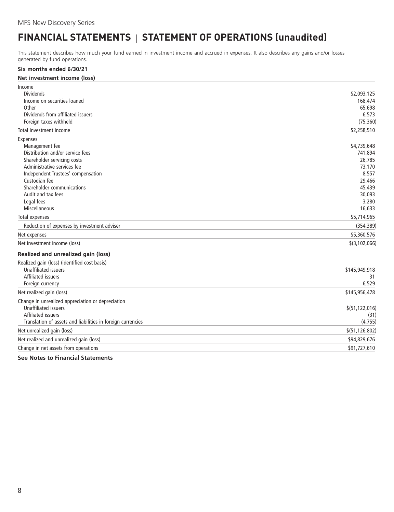# <span id="page-9-0"></span>**FINANCIAL STATEMENTS** | STATEMENT OF OPERATIONS (unaudited)

This statement describes how much your fund earned in investment income and accrued in expenses. It also describes any gains and/or losses generated by fund operations.

| Six months ended 6/30/21                                                                                                                                                                                                                                                      |                                                                                                      |
|-------------------------------------------------------------------------------------------------------------------------------------------------------------------------------------------------------------------------------------------------------------------------------|------------------------------------------------------------------------------------------------------|
| Net investment income (loss)                                                                                                                                                                                                                                                  |                                                                                                      |
| Income<br><b>Dividends</b><br>Income on securities loaned<br>Other<br>Dividends from affiliated issuers<br>Foreign taxes withheld                                                                                                                                             | \$2,093,125<br>168,474<br>65,698<br>6,573<br>(75, 360)                                               |
| Total investment income                                                                                                                                                                                                                                                       | \$2,258,510                                                                                          |
| <b>Expenses</b><br>Management fee<br>Distribution and/or service fees<br>Shareholder servicing costs<br>Administrative services fee<br>Independent Trustees' compensation<br>Custodian fee<br>Shareholder communications<br>Audit and tax fees<br>Legal fees<br>Miscellaneous | \$4,739,648<br>741,894<br>26,785<br>73,170<br>8,557<br>29,466<br>45,439<br>30,093<br>3,280<br>16,633 |
| Total expenses                                                                                                                                                                                                                                                                | \$5,714,965                                                                                          |
| Reduction of expenses by investment adviser                                                                                                                                                                                                                                   | (354, 389)                                                                                           |
| Net expenses                                                                                                                                                                                                                                                                  | \$5,360,576                                                                                          |
| Net investment income (loss)                                                                                                                                                                                                                                                  | \$(3,102,066)                                                                                        |
| Realized and unrealized gain (loss)                                                                                                                                                                                                                                           |                                                                                                      |
| Realized gain (loss) (identified cost basis)<br><b>Unaffiliated issuers</b><br><b>Affiliated issuers</b><br>Foreign currency                                                                                                                                                  | \$145,949,918<br>31<br>6,529                                                                         |
| Net realized gain (loss)                                                                                                                                                                                                                                                      | \$145,956,478                                                                                        |
| Change in unrealized appreciation or depreciation<br><b>Unaffiliated issuers</b><br><b>Affiliated issuers</b><br>Translation of assets and liabilities in foreign currencies                                                                                                  | \$(51, 122, 016)<br>(31)<br>(4, 755)                                                                 |
| Net unrealized gain (loss)                                                                                                                                                                                                                                                    | \$(51, 126, 802)                                                                                     |
| Net realized and unrealized gain (loss)                                                                                                                                                                                                                                       | \$94,829,676                                                                                         |
| Change in net assets from operations                                                                                                                                                                                                                                          | \$91,727,610                                                                                         |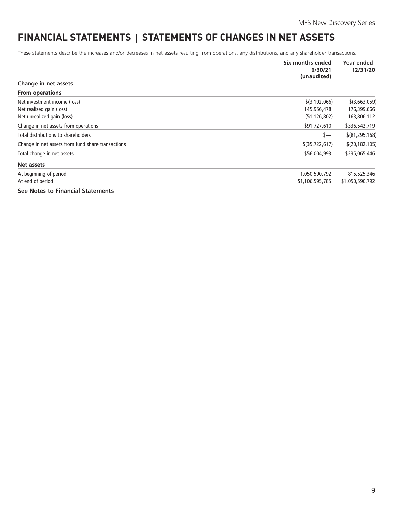# <span id="page-10-0"></span>**FINANCIAL STATEMENTS | STATEMENTS OF CHANGES IN NET ASSETS**

These statements describe the increases and/or decreases in net assets resulting from operations, any distributions, and any shareholder transactions.

|                                                   | Six months ended<br>6/30/21<br>(unaudited) | Year ended<br>12/31/20 |
|---------------------------------------------------|--------------------------------------------|------------------------|
| Change in net assets                              |                                            |                        |
| <b>From operations</b>                            |                                            |                        |
| Net investment income (loss)                      | $$$ (3,102,066)                            | \$(3,663,059)          |
| Net realized gain (loss)                          | 145,956,478                                | 176,399,666            |
| Net unrealized gain (loss)                        | (51, 126, 802)                             | 163,806,112            |
| Change in net assets from operations              | \$91,727,610                               | \$336,542,719          |
| Total distributions to shareholders               | \$—                                        | \$ (81, 295, 168)      |
| Change in net assets from fund share transactions | $$$ (35,722,617)                           | \$(20, 182, 105)       |
| Total change in net assets                        | \$56,004,993                               | \$235,065,446          |
| Net assets                                        |                                            |                        |
| At beginning of period                            | 1,050,590,792                              | 815,525,346            |
| At end of period                                  | \$1,106,595,785                            | \$1,050,590,792        |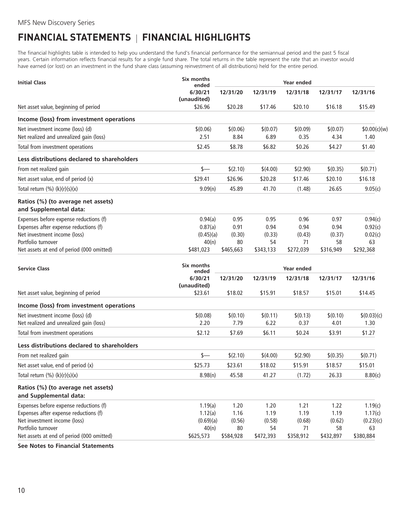# <span id="page-11-0"></span>**FINANCIAL STATEMENTS FINANCIAL HIGHLIGHTS**

The financial highlights table is intended to help you understand the fund's financial performance for the semiannual period and the past 5 fiscal years. Certain information reflects financial results for a single fund share. The total returns in the table represent the rate that an investor would have earned (or lost) on an investment in the fund share class (assuming reinvestment of all distributions) held for the entire period.

| <b>Initial Class</b>                                         | Six months<br>ended    | Year ended |           |            |           |              |
|--------------------------------------------------------------|------------------------|------------|-----------|------------|-----------|--------------|
|                                                              | 6/30/21<br>(unaudited) | 12/31/20   | 12/31/19  | 12/31/18   | 12/31/17  | 12/31/16     |
| Net asset value, beginning of period                         | \$26.96                | \$20.28    | \$17.46   | \$20.10    | \$16.18   | \$15.49      |
| Income (loss) from investment operations                     |                        |            |           |            |           |              |
| Net investment income (loss) (d)                             | \$(0.06)               | \$(0.06)   | \$(0.07)  | \$(0.09)   | \$(0.07)  | \$0.00(c)(w) |
| Net realized and unrealized gain (loss)                      | 2.51                   | 8.84       | 6.89      | 0.35       | 4.34      | 1.40         |
| Total from investment operations                             | \$2.45                 | \$8.78     | \$6.82    | \$0.26     | \$4.27    | \$1.40       |
| Less distributions declared to shareholders                  |                        |            |           |            |           |              |
| From net realized gain                                       | \$—                    | \$(2.10)   | \$(4.00)  | \$(2.90)   | \$(0.35)  | \$(0.71)     |
| Net asset value, end of period (x)                           | \$29.41                | \$26.96    | \$20.28   | \$17.46    | \$20.10   | \$16.18      |
| Total return $(\%) (k)(r)(s)(x)$                             | 9.09(n)                | 45.89      | 41.70     | (1.48)     | 26.65     | 9.05(c)      |
| Ratios (%) (to average net assets)<br>and Supplemental data: |                        |            |           |            |           |              |
| Expenses before expense reductions (f)                       | 0.94(a)                | 0.95       | 0.95      | 0.96       | 0.97      | 0.94(c)      |
| Expenses after expense reductions (f)                        | 0.87(a)                | 0.91       | 0.94      | 0.94       | 0.94      | 0.92(c)      |
| Net investment income (loss)                                 | (0.45)(a)              | (0.30)     | (0.33)    | (0.43)     | (0.37)    | 0.02(c)      |
| Portfolio turnover                                           | 40(n)                  | 80         | 54        | 71         | 58        | 63           |
| Net assets at end of period (000 omitted)                    | \$481,023              | \$465,663  | \$343,133 | \$272,039  | \$316,949 | \$292,368    |
| <b>Service Class</b>                                         | Six months<br>ended    |            |           | Year ended |           |              |
|                                                              | 6/30/21<br>(unaudited) | 12/31/20   | 12/31/19  | 12/31/18   | 12/31/17  | 12/31/16     |
| Net asset value, beginning of period                         | \$23.61                | \$18.02    | \$15.91   | \$18.57    | \$15.01   | \$14.45      |
| Income (loss) from investment operations                     |                        |            |           |            |           |              |
| Net investment income (loss) (d)                             | \$(0.08)               | \$(0.10)   | \$(0.11)  | \$(0.13)   | \$(0.10)  | \$(0.03)(c)  |
| Net realized and unrealized gain (loss)                      | 2.20                   | 7.79       | 6.22      | 0.37       | 4.01      | 1.30         |
| Total from investment operations                             | \$2.12                 | \$7.69     | \$6.11    | \$0.24     | \$3.91    | \$1.27       |
| Less distributions declared to shareholders                  |                        |            |           |            |           |              |
| From net realized gain                                       | \$—                    | \$(2.10)   | \$(4.00)  | \$(2.90)   | \$(0.35)  | \$(0.71)     |
| Net asset value, end of period (x)                           | \$25.73                | \$23.61    | \$18.02   | \$15.91    | \$18.57   | \$15.01      |
| Total return $(\%) (k)(r)(s)(x)$                             | 8.98(n)                | 45.58      | 41.27     | (1.72)     | 26.33     | 8.80(c)      |
| Ratios (%) (to average net assets)<br>and Supplemental data: |                        |            |           |            |           |              |
| Expenses before expense reductions (f)                       | 1.19(a)                | 1.20       | 1.20      | 1.21       | 1.22      | 1.19(c)      |
| Expenses after expense reductions (f)                        | 1.12(a)                | 1.16       | 1.19      | 1.19       | 1.19      | 1.17(c)      |
| Net investment income (loss)                                 | (0.69)(a)              | (0.56)     | (0.58)    | (0.68)     | (0.62)    | (0.23)(c)    |
| Portfolio turnover                                           | 40(n)                  | 80         | 54        | 71         | 58        | 63           |
| Net assets at end of period (000 omitted)                    | \$625,573              | \$584,928  | \$472,393 | \$358,912  | \$432,897 | \$380,884    |
| Can Natas to Financial Chatamante                            |                        |            |           |            |           |              |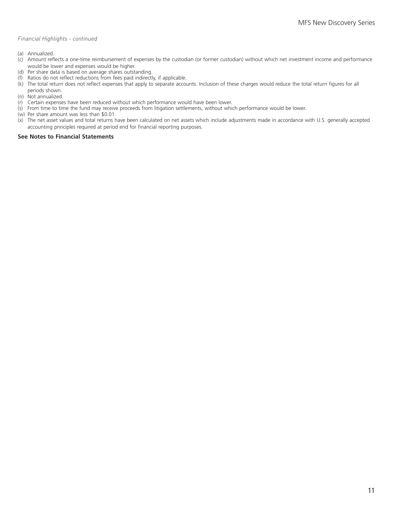#### *Financial Highlights - continued*

- (a) Annualized.
- (c) Amount reflects a one-time reimbursement of expenses by the custodian (or former custodian) without which net investment income and performance would be lower and expenses would be higher.
- (d) Per share data is based on average shares outstanding.
- (f) Ratios do not reflect reductions from fees paid indirectly, if applicable.
- (k) The total return does not reflect expenses that apply to separate accounts. Inclusion of these charges would reduce the total return figures for all periods shown.
- (n) Not annualized.
- (r) Certain expenses have been reduced without which performance would have been lower.
- (s) From time to time the fund may receive proceeds from litigation settlements, without which performance would be lower.
- (w) Per share amount was less than \$0.01.
- (x) The net asset values and total returns have been calculated on net assets which include adjustments made in accordance with U.S. generally accepted accounting principles required at period end for financial reporting purposes.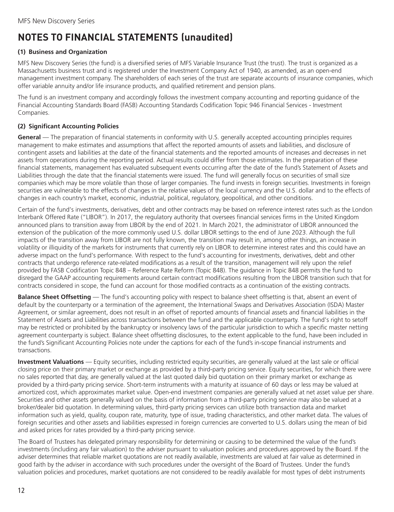# <span id="page-13-0"></span>**NOTES TO FINANCIAL STATEMENTS (unaudited)**

# **(1) Business and Organization**

MFS New Discovery Series (the fund) is a diversified series of MFS Variable Insurance Trust (the trust). The trust is organized as a Massachusetts business trust and is registered under the Investment Company Act of 1940, as amended, as an open-end management investment company. The shareholders of each series of the trust are separate accounts of insurance companies, which offer variable annuity and/or life insurance products, and qualified retirement and pension plans.

The fund is an investment company and accordingly follows the investment company accounting and reporting guidance of the Financial Accounting Standards Board (FASB) Accounting Standards Codification Topic 946 Financial Services - Investment Companies.

# **(2) Significant Accounting Policies**

**General** — The preparation of financial statements in conformity with U.S. generally accepted accounting principles requires management to make estimates and assumptions that affect the reported amounts of assets and liabilities, and disclosure of contingent assets and liabilities at the date of the financial statements and the reported amounts of increases and decreases in net assets from operations during the reporting period. Actual results could differ from those estimates. In the preparation of these financial statements, management has evaluated subsequent events occurring after the date of the fund's Statement of Assets and Liabilities through the date that the financial statements were issued. The fund will generally focus on securities of small size companies which may be more volatile than those of larger companies. The fund invests in foreign securities. Investments in foreign securities are vulnerable to the effects of changes in the relative values of the local currency and the U.S. dollar and to the effects of changes in each country's market, economic, industrial, political, regulatory, geopolitical, and other conditions.

Certain of the fund's investments, derivatives, debt and other contracts may be based on reference interest rates such as the London Interbank Offered Rate ("LIBOR"). In 2017, the regulatory authority that oversees financial services firms in the United Kingdom announced plans to transition away from LIBOR by the end of 2021. In March 2021, the administrator of LIBOR announced the extension of the publication of the more commonly used U.S. dollar LIBOR settings to the end of June 2023. Although the full impacts of the transition away from LIBOR are not fully known, the transition may result in, among other things, an increase in volatility or illiquidity of the markets for instruments that currently rely on LIBOR to determine interest rates and this could have an adverse impact on the fund's performance. With respect to the fund's accounting for investments, derivatives, debt and other contracts that undergo reference rate-related modifications as a result of the transition, management will rely upon the relief provided by FASB Codification Topic 848 – Reference Rate Reform (Topic 848). The guidance in Topic 848 permits the fund to disregard the GAAP accounting requirements around certain contract modifications resulting from the LIBOR transition such that for contracts considered in scope, the fund can account for those modified contracts as a continuation of the existing contracts.

**Balance Sheet Offsetting** — The fund's accounting policy with respect to balance sheet offsetting is that, absent an event of default by the counterparty or a termination of the agreement, the International Swaps and Derivatives Association (ISDA) Master Agreement, or similar agreement, does not result in an offset of reported amounts of financial assets and financial liabilities in the Statement of Assets and Liabilities across transactions between the fund and the applicable counterparty. The fund's right to setoff may be restricted or prohibited by the bankruptcy or insolvency laws of the particular jurisdiction to which a specific master netting agreement counterparty is subject. Balance sheet offsetting disclosures, to the extent applicable to the fund, have been included in the fund's Significant Accounting Policies note under the captions for each of the fund's in-scope financial instruments and transactions.

**Investment Valuations** — Equity securities, including restricted equity securities, are generally valued at the last sale or official closing price on their primary market or exchange as provided by a third-party pricing service. Equity securities, for which there were no sales reported that day, are generally valued at the last quoted daily bid quotation on their primary market or exchange as provided by a third-party pricing service. Short-term instruments with a maturity at issuance of 60 days or less may be valued at amortized cost, which approximates market value. Open-end investment companies are generally valued at net asset value per share. Securities and other assets generally valued on the basis of information from a third-party pricing service may also be valued at a broker/dealer bid quotation. In determining values, third-party pricing services can utilize both transaction data and market information such as yield, quality, coupon rate, maturity, type of issue, trading characteristics, and other market data. The values of foreign securities and other assets and liabilities expressed in foreign currencies are converted to U.S. dollars using the mean of bid and asked prices for rates provided by a third-party pricing service.

The Board of Trustees has delegated primary responsibility for determining or causing to be determined the value of the fund's investments (including any fair valuation) to the adviser pursuant to valuation policies and procedures approved by the Board. If the adviser determines that reliable market quotations are not readily available, investments are valued at fair value as determined in good faith by the adviser in accordance with such procedures under the oversight of the Board of Trustees. Under the fund's valuation policies and procedures, market quotations are not considered to be readily available for most types of debt instruments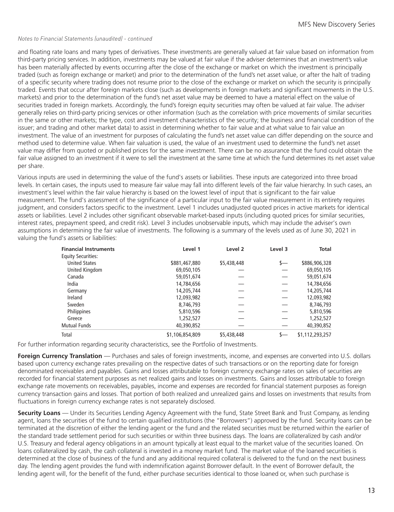#### *Notes to Financial Statements (unaudited) - continued*

and floating rate loans and many types of derivatives. These investments are generally valued at fair value based on information from third-party pricing services. In addition, investments may be valued at fair value if the adviser determines that an investment's value has been materially affected by events occurring after the close of the exchange or market on which the investment is principally traded (such as foreign exchange or market) and prior to the determination of the fund's net asset value, or after the halt of trading of a specific security where trading does not resume prior to the close of the exchange or market on which the security is principally traded. Events that occur after foreign markets close (such as developments in foreign markets and significant movements in the U.S. markets) and prior to the determination of the fund's net asset value may be deemed to have a material effect on the value of securities traded in foreign markets. Accordingly, the fund's foreign equity securities may often be valued at fair value. The adviser generally relies on third-party pricing services or other information (such as the correlation with price movements of similar securities in the same or other markets; the type, cost and investment characteristics of the security; the business and financial condition of the issuer; and trading and other market data) to assist in determining whether to fair value and at what value to fair value an investment. The value of an investment for purposes of calculating the fund's net asset value can differ depending on the source and method used to determine value. When fair valuation is used, the value of an investment used to determine the fund's net asset value may differ from quoted or published prices for the same investment. There can be no assurance that the fund could obtain the fair value assigned to an investment if it were to sell the investment at the same time at which the fund determines its net asset value per share.

Various inputs are used in determining the value of the fund's assets or liabilities. These inputs are categorized into three broad levels. In certain cases, the inputs used to measure fair value may fall into different levels of the fair value hierarchy. In such cases, an investment's level within the fair value hierarchy is based on the lowest level of input that is significant to the fair value measurement. The fund's assessment of the significance of a particular input to the fair value measurement in its entirety requires judgment, and considers factors specific to the investment. Level 1 includes unadjusted quoted prices in active markets for identical assets or liabilities. Level 2 includes other significant observable market-based inputs (including quoted prices for similar securities, interest rates, prepayment speed, and credit risk). Level 3 includes unobservable inputs, which may include the adviser's own assumptions in determining the fair value of investments. The following is a summary of the levels used as of June 30, 2021 in valuing the fund's assets or liabilities:

| <b>Financial Instruments</b> | Level 1         | Level 2     | Level 3 | <b>Total</b>    |
|------------------------------|-----------------|-------------|---------|-----------------|
| <b>Equity Securities:</b>    |                 |             |         |                 |
| <b>United States</b>         | \$881,467,880   | \$5,438,448 | s—      | \$886,906,328   |
| United Kingdom               | 69,050,105      |             |         | 69,050,105      |
| Canada                       | 59,051,674      |             |         | 59,051,674      |
| India                        | 14,784,656      |             |         | 14,784,656      |
| Germany                      | 14,205,744      |             |         | 14,205,744      |
| Ireland                      | 12,093,982      |             |         | 12,093,982      |
| Sweden                       | 8,746,793       |             |         | 8,746,793       |
| <b>Philippines</b>           | 5,810,596       |             |         | 5,810,596       |
| Greece                       | 1,252,527       |             |         | 1,252,527       |
| <b>Mutual Funds</b>          | 40,390,852      |             |         | 40,390,852      |
| Total                        | \$1,106,854,809 | \$5,438,448 |         | \$1,112,293,257 |

For further information regarding security characteristics, see the Portfolio of Investments.

**Foreign Currency Translation** — Purchases and sales of foreign investments, income, and expenses are converted into U.S. dollars based upon currency exchange rates prevailing on the respective dates of such transactions or on the reporting date for foreign denominated receivables and payables. Gains and losses attributable to foreign currency exchange rates on sales of securities are recorded for financial statement purposes as net realized gains and losses on investments. Gains and losses attributable to foreign exchange rate movements on receivables, payables, income and expenses are recorded for financial statement purposes as foreign currency transaction gains and losses. That portion of both realized and unrealized gains and losses on investments that results from fluctuations in foreign currency exchange rates is not separately disclosed.

**Security Loans** — Under its Securities Lending Agency Agreement with the fund, State Street Bank and Trust Company, as lending agent, loans the securities of the fund to certain qualified institutions (the "Borrowers") approved by the fund. Security loans can be terminated at the discretion of either the lending agent or the fund and the related securities must be returned within the earlier of the standard trade settlement period for such securities or within three business days. The loans are collateralized by cash and/or U.S. Treasury and federal agency obligations in an amount typically at least equal to the market value of the securities loaned. On loans collateralized by cash, the cash collateral is invested in a money market fund. The market value of the loaned securities is determined at the close of business of the fund and any additional required collateral is delivered to the fund on the next business day. The lending agent provides the fund with indemnification against Borrower default. In the event of Borrower default, the lending agent will, for the benefit of the fund, either purchase securities identical to those loaned or, when such purchase is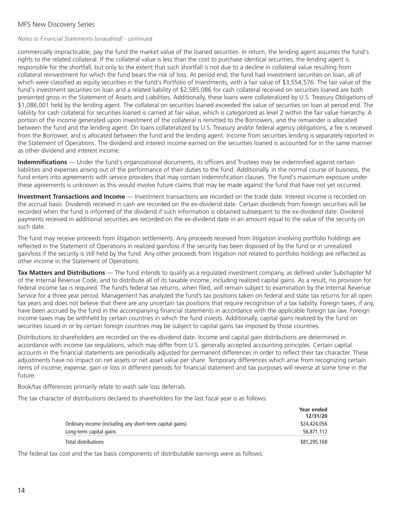#### MFS New Discovery Series

# *Notes to Financial Statements (unaudited) - continued*

commercially impracticable, pay the fund the market value of the loaned securities. In return, the lending agent assumes the fund's rights to the related collateral. If the collateral value is less than the cost to purchase identical securities, the lending agent is responsible for the shortfall, but only to the extent that such shortfall is not due to a decline in collateral value resulting from collateral reinvestment for which the fund bears the risk of loss. At period end, the fund had investment securities on loan, all of which were classified as equity securities in the fund's Portfolio of Investments, with a fair value of \$3,554,576. The fair value of the fund's investment securities on loan and a related liability of \$2,585,086 for cash collateral received on securities loaned are both presented gross in the Statement of Assets and Liabilities. Additionally, these loans were collateralized by U.S. Treasury Obligations of \$1,086,001 held by the lending agent. The collateral on securities loaned exceeded the value of securities on loan at period end. The liability for cash collateral for securities loaned is carried at fair value, which is categorized as level 2 within the fair value hierarchy. A portion of the income generated upon investment of the collateral is remitted to the Borrowers, and the remainder is allocated between the fund and the lending agent. On loans collateralized by U.S. Treasury and/or federal agency obligations, a fee is received from the Borrower, and is allocated between the fund and the lending agent. Income from securities lending is separately reported in the Statement of Operations. The dividend and interest income earned on the securities loaned is accounted for in the same manner as other dividend and interest income.

**Indemnifications** — Under the fund's organizational documents, its officers and Trustees may be indemnified against certain liabilities and expenses arising out of the performance of their duties to the fund. Additionally, in the normal course of business, the fund enters into agreements with service providers that may contain indemnification clauses. The fund's maximum exposure under these agreements is unknown as this would involve future claims that may be made against the fund that have not yet occurred.

**Investment Transactions and Income** — Investment transactions are recorded on the trade date. Interest income is recorded on the accrual basis. Dividends received in cash are recorded on the ex-dividend date. Certain dividends from foreign securities will be recorded when the fund is informed of the dividend if such information is obtained subsequent to the ex-dividend date. Dividend payments received in additional securities are recorded on the ex-dividend date in an amount equal to the value of the security on such date.

The fund may receive proceeds from litigation settlements. Any proceeds received from litigation involving portfolio holdings are reflected in the Statement of Operations in realized gain/loss if the security has been disposed of by the fund or in unrealized gain/loss if the security is still held by the fund. Any other proceeds from litigation not related to portfolio holdings are reflected as other income in the Statement of Operations.

**Tax Matters and Distributions** — The fund intends to qualify as a regulated investment company, as defined under Subchapter M of the Internal Revenue Code, and to distribute all of its taxable income, including realized capital gains. As a result, no provision for federal income tax is required. The fund's federal tax returns, when filed, will remain subject to examination by the Internal Revenue Service for a three year period. Management has analyzed the fund's tax positions taken on federal and state tax returns for all open tax years and does not believe that there are any uncertain tax positions that require recognition of a tax liability. Foreign taxes, if any, have been accrued by the fund in the accompanying financial statements in accordance with the applicable foreign tax law. Foreign income taxes may be withheld by certain countries in which the fund invests. Additionally, capital gains realized by the fund on securities issued in or by certain foreign countries may be subject to capital gains tax imposed by those countries.

Distributions to shareholders are recorded on the ex-dividend date. Income and capital gain distributions are determined in accordance with income tax regulations, which may differ from U.S. generally accepted accounting principles. Certain capital accounts in the financial statements are periodically adjusted for permanent differences in order to reflect their tax character. These adjustments have no impact on net assets or net asset value per share. Temporary differences which arise from recognizing certain items of income, expense, gain or loss in different periods for financial statement and tax purposes will reverse at some time in the future.

Book/tax differences primarily relate to wash sale loss deferrals.

The tax character of distributions declared to shareholders for the last fiscal year is as follows:

|                                                          | Year ended<br>12/31/20 |
|----------------------------------------------------------|------------------------|
| Ordinary income (including any short-term capital gains) | \$24,424,056           |
| Long-term capital gains                                  | 56,871,112             |
| Total distributions                                      | \$81,295,168           |

The federal tax cost and the tax basis components of distributable earnings were as follows: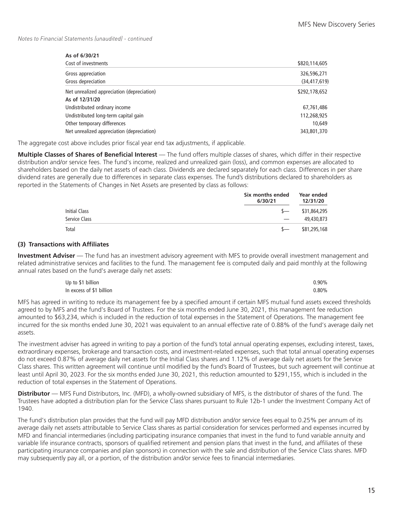*Notes to Financial Statements (unaudited) - continued*

#### **As of 6/30/21**

| Cost of investments                        | \$820,114,605  |
|--------------------------------------------|----------------|
| Gross appreciation                         | 326,596,271    |
| Gross depreciation                         | (34, 417, 619) |
| Net unrealized appreciation (depreciation) | \$292,178,652  |
| As of 12/31/20                             |                |
| Undistributed ordinary income              | 67,761,486     |
| Undistributed long-term capital gain       | 112,268,925    |
| Other temporary differences                | 10,649         |
| Net unrealized appreciation (depreciation) | 343,801,370    |

The aggregate cost above includes prior fiscal year end tax adjustments, if applicable.

**Multiple Classes of Shares of Beneficial Interest** — The fund offers multiple classes of shares, which differ in their respective distribution and/or service fees. The fund's income, realized and unrealized gain (loss), and common expenses are allocated to shareholders based on the daily net assets of each class. Dividends are declared separately for each class. Differences in per share dividend rates are generally due to differences in separate class expenses. The fund's distributions declared to shareholders as reported in the Statements of Changes in Net Assets are presented by class as follows:

|                      | Six months ended<br>6/30/21 | Year ended<br>12/31/20 |  |
|----------------------|-----------------------------|------------------------|--|
| <b>Initial Class</b> | $S-$                        | \$31,864,295           |  |
| Service Class        |                             | 49,430,873             |  |
| Total                | $S-$                        | \$81,295,168           |  |

#### **(3) Transactions with Affiliates**

**Investment Adviser** — The fund has an investment advisory agreement with MFS to provide overall investment management and related administrative services and facilities to the fund. The management fee is computed daily and paid monthly at the following annual rates based on the fund's average daily net assets:

| Up to \$1 billion        | $0.90\%$ |
|--------------------------|----------|
| In excess of \$1 billion | $0.80\%$ |

MFS has agreed in writing to reduce its management fee by a specified amount if certain MFS mutual fund assets exceed thresholds agreed to by MFS and the fund's Board of Trustees. For the six months ended June 30, 2021, this management fee reduction amounted to \$63,234, which is included in the reduction of total expenses in the Statement of Operations. The management fee incurred for the six months ended June 30, 2021 was equivalent to an annual effective rate of 0.88% of the fund's average daily net assets.

The investment adviser has agreed in writing to pay a portion of the fund's total annual operating expenses, excluding interest, taxes, extraordinary expenses, brokerage and transaction costs, and investment-related expenses, such that total annual operating expenses do not exceed 0.87% of average daily net assets for the Initial Class shares and 1.12% of average daily net assets for the Service Class shares. This written agreement will continue until modified by the fund's Board of Trustees, but such agreement will continue at least until April 30, 2023. For the six months ended June 30, 2021, this reduction amounted to \$291,155, which is included in the reduction of total expenses in the Statement of Operations.

**Distributor** — MFS Fund Distributors, Inc. (MFD), a wholly-owned subsidiary of MFS, is the distributor of shares of the fund. The Trustees have adopted a distribution plan for the Service Class shares pursuant to Rule 12b-1 under the Investment Company Act of 1940.

The fund's distribution plan provides that the fund will pay MFD distribution and/or service fees equal to 0.25% per annum of its average daily net assets attributable to Service Class shares as partial consideration for services performed and expenses incurred by MFD and financial intermediaries (including participating insurance companies that invest in the fund to fund variable annuity and variable life insurance contracts, sponsors of qualified retirement and pension plans that invest in the fund, and affiliates of these participating insurance companies and plan sponsors) in connection with the sale and distribution of the Service Class shares. MFD may subsequently pay all, or a portion, of the distribution and/or service fees to financial intermediaries.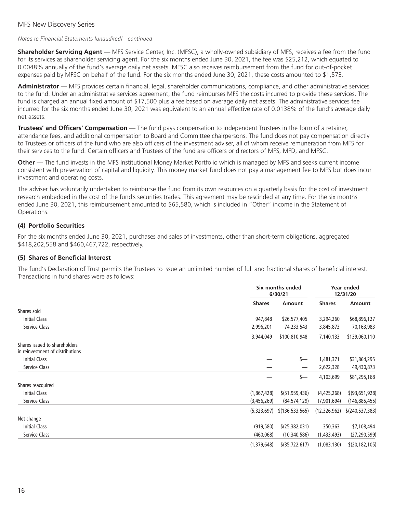#### MFS New Discovery Series

#### *Notes to Financial Statements (unaudited) - continued*

**Shareholder Servicing Agent** — MFS Service Center, Inc. (MFSC), a wholly-owned subsidiary of MFS, receives a fee from the fund for its services as shareholder servicing agent. For the six months ended June 30, 2021, the fee was \$25,212, which equated to 0.0048% annually of the fund's average daily net assets. MFSC also receives reimbursement from the fund for out-of-pocket expenses paid by MFSC on behalf of the fund. For the six months ended June 30, 2021, these costs amounted to \$1,573.

**Administrator** — MFS provides certain financial, legal, shareholder communications, compliance, and other administrative services to the fund. Under an administrative services agreement, the fund reimburses MFS the costs incurred to provide these services. The fund is charged an annual fixed amount of \$17,500 plus a fee based on average daily net assets. The administrative services fee incurred for the six months ended June 30, 2021 was equivalent to an annual effective rate of 0.0138% of the fund's average daily net assets.

**Trustees' and Officers' Compensation** — The fund pays compensation to independent Trustees in the form of a retainer, attendance fees, and additional compensation to Board and Committee chairpersons. The fund does not pay compensation directly to Trustees or officers of the fund who are also officers of the investment adviser, all of whom receive remuneration from MFS for their services to the fund. Certain officers and Trustees of the fund are officers or directors of MFS, MFD, and MFSC.

**Other** — The fund invests in the MFS Institutional Money Market Portfolio which is managed by MFS and seeks current income consistent with preservation of capital and liquidity. This money market fund does not pay a management fee to MFS but does incur investment and operating costs.

The adviser has voluntarily undertaken to reimburse the fund from its own resources on a quarterly basis for the cost of investment research embedded in the cost of the fund's securities trades. This agreement may be rescinded at any time. For the six months ended June 30, 2021, this reimbursement amounted to \$65,580, which is included in "Other" income in the Statement of Operations.

#### **(4) Portfolio Securities**

For the six months ended June 30, 2021, purchases and sales of investments, other than short-term obligations, aggregated \$418,202,558 and \$460,467,722, respectively.

#### **(5) Shares of Beneficial Interest**

The fund's Declaration of Trust permits the Trustees to issue an unlimited number of full and fractional shares of beneficial interest. Transactions in fund shares were as follows:

|                                                                   |               | Six months ended<br>6/30/21 |               | Year ended<br>12/31/20 |  |
|-------------------------------------------------------------------|---------------|-----------------------------|---------------|------------------------|--|
|                                                                   | <b>Shares</b> | Amount                      | <b>Shares</b> | Amount                 |  |
| Shares sold                                                       |               |                             |               |                        |  |
| Initial Class                                                     | 947,848       | \$26,577,405                | 3,294,260     | \$68,896,127           |  |
| Service Class                                                     | 2,996,201     | 74,233,543                  | 3,845,873     | 70,163,983             |  |
|                                                                   | 3,944,049     | \$100,810,948               | 7,140,133     | \$139,060,110          |  |
| Shares issued to shareholders<br>in reinvestment of distributions |               |                             |               |                        |  |
| Initial Class                                                     |               | s—                          | 1,481,371     | \$31,864,295           |  |
| Service Class                                                     |               |                             | 2,622,328     | 49,430,873             |  |
|                                                                   |               | s—                          | 4,103,699     | \$81,295,168           |  |
| Shares reacquired                                                 |               |                             |               |                        |  |
| <b>Initial Class</b>                                              | (1,867,428)   | \$(51, 959, 436)            | (4,425,268)   | \$(93, 651, 928)       |  |
| Service Class                                                     | (3,456,269)   | (84, 574, 129)              | (7,901,694)   | (146, 885, 455)        |  |
|                                                                   | (5,323,697)   | \$(136, 533, 565)           | (12,326,962)  | \$(240, 537, 383)      |  |
| Net change                                                        |               |                             |               |                        |  |
| Initial Class                                                     | (919,580)     | \$(25, 382, 031)            | 350,363       | \$7,108,494            |  |
| Service Class                                                     | (460,068)     | (10, 340, 586)              | (1,433,493)   | (27, 290, 599)         |  |
|                                                                   | (1,379,648)   | $$$ (35,722,617)            | (1,083,130)   | \$(20, 182, 105)       |  |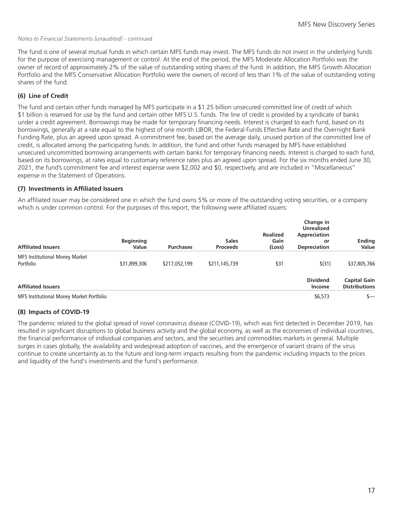#### *Notes to Financial Statements (unaudited) - continued*

The fund is one of several mutual funds in which certain MFS funds may invest. The MFS funds do not invest in the underlying funds for the purpose of exercising management or control. At the end of the period, the MFS Moderate Allocation Portfolio was the owner of record of approximately 2% of the value of outstanding voting shares of the fund. In addition, the MFS Growth Allocation Portfolio and the MFS Conservative Allocation Portfolio were the owners of record of less than 1% of the value of outstanding voting shares of the fund.

## **(6) Line of Credit**

The fund and certain other funds managed by MFS participate in a \$1.25 billion unsecured committed line of credit of which \$1 billion is reserved for use by the fund and certain other MFS U.S. funds. The line of credit is provided by a syndicate of banks under a credit agreement. Borrowings may be made for temporary financing needs. Interest is charged to each fund, based on its borrowings, generally at a rate equal to the highest of one month LIBOR, the Federal Funds Effective Rate and the Overnight Bank Funding Rate, plus an agreed upon spread. A commitment fee, based on the average daily, unused portion of the committed line of credit, is allocated among the participating funds. In addition, the fund and other funds managed by MFS have established unsecured uncommitted borrowing arrangements with certain banks for temporary financing needs. Interest is charged to each fund, based on its borrowings, at rates equal to customary reference rates plus an agreed upon spread. For the six months ended June 30, 2021, the fund's commitment fee and interest expense were \$2,002 and \$0, respectively, and are included in "Miscellaneous" expense in the Statement of Operations.

#### **(7) Investments in Affiliated Issuers**

An affiliated issuer may be considered one in which the fund owns 5% or more of the outstanding voting securities, or a company which is under common control. For the purposes of this report, the following were affiliated issuers:

| <b>Affiliated Issuers</b>                | <b>Beginning</b><br>Value | <b>Purchases</b> | <b>Sales</b><br><b>Proceeds</b> | <b>Realized</b><br>Gain<br>(Loss) | Change in<br><b>Unrealized</b><br>Appreciation<br>or<br><b>Depreciation</b> | <b>Ending</b><br>Value                      |
|------------------------------------------|---------------------------|------------------|---------------------------------|-----------------------------------|-----------------------------------------------------------------------------|---------------------------------------------|
| <b>MFS Institutional Money Market</b>    |                           |                  |                                 |                                   |                                                                             |                                             |
| Portfolio                                | \$31,899,306              | \$217,052,199    | \$211,145,739                   | \$31                              | \$(31)                                                                      | \$37,805,766                                |
| <b>Affiliated Issuers</b>                |                           |                  |                                 |                                   | <b>Dividend</b><br>Income                                                   | <b>Capital Gain</b><br><b>Distributions</b> |
| MFS Institutional Money Market Portfolio |                           |                  |                                 |                                   | \$6,573                                                                     | s—                                          |

## **(8) Impacts of COVID-19**

The pandemic related to the global spread of novel coronavirus disease (COVID-19), which was first detected in December 2019, has resulted in significant disruptions to global business activity and the global economy, as well as the economies of individual countries, the financial performance of individual companies and sectors, and the securities and commodities markets in general. Multiple surges in cases globally, the availability and widespread adoption of vaccines, and the emergence of variant strains of the virus continue to create uncertainty as to the future and long-term impacts resulting from the pandemic including impacts to the prices and liquidity of the fund's investments and the fund's performance.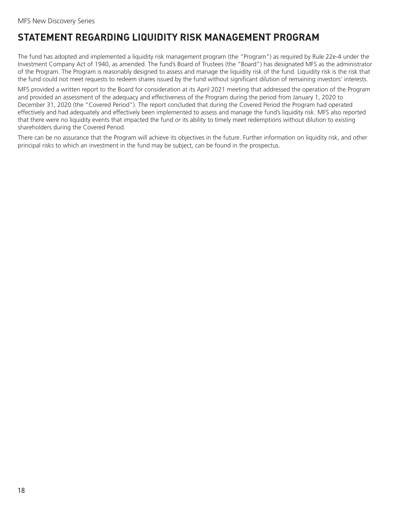# <span id="page-19-0"></span>**STATEMENT REGARDING LIQUIDITY RISK MANAGEMENT PROGRAM**

The fund has adopted and implemented a liquidity risk management program (the "Program") as required by Rule 22e-4 under the Investment Company Act of 1940, as amended. The fund's Board of Trustees (the "Board") has designated MFS as the administrator of the Program. The Program is reasonably designed to assess and manage the liquidity risk of the fund. Liquidity risk is the risk that the fund could not meet requests to redeem shares issued by the fund without significant dilution of remaining investors' interests.

MFS provided a written report to the Board for consideration at its April 2021 meeting that addressed the operation of the Program and provided an assessment of the adequacy and effectiveness of the Program during the period from January 1, 2020 to December 31, 2020 (the "Covered Period"). The report concluded that during the Covered Period the Program had operated effectively and had adequately and effectively been implemented to assess and manage the fund's liquidity risk. MFS also reported that there were no liquidity events that impacted the fund or its ability to timely meet redemptions without dilution to existing shareholders during the Covered Period.

There can be no assurance that the Program will achieve its objectives in the future. Further information on liquidity risk, and other principal risks to which an investment in the fund may be subject, can be found in the prospectus.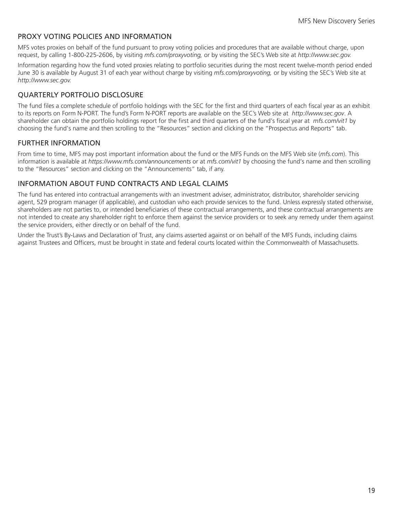# <span id="page-20-0"></span>PROXY VOTING POLICIES AND INFORMATION

MFS votes proxies on behalf of the fund pursuant to proxy voting policies and procedures that are available without charge, upon request, by calling 1-800-225-2606, by visiting *mfs.com/proxyvoting,* or by visiting the SEC's Web site at *http://www.sec.gov.*

Information regarding how the fund voted proxies relating to portfolio securities during the most recent twelve-month period ended June 30 is available by August 31 of each year without charge by visiting *mfs.com/proxyvoting,* or by visiting the SEC's Web site at *http://www.sec.gov.*

# QUARTERLY PORTFOLIO DISCLOSURE

The fund files a complete schedule of portfolio holdings with the SEC for the first and third quarters of each fiscal year as an exhibit to its reports on Form N-PORT. The fund's Form N-PORT reports are available on the SEC's Web site at *http://www.sec.gov*. A shareholder can obtain the portfolio holdings report for the first and third quarters of the fund's fiscal year at *mfs.com/vit1* by choosing the fund's name and then scrolling to the "Resources" section and clicking on the "Prospectus and Reports" tab.

# FURTHER INFORMATION

From time to time, MFS may post important information about the fund or the MFS Funds on the MFS Web site (*mfs.com*). This information is available at *https://www.mfs.com/announcements* or at *mfs.com/vit1* by choosing the fund's name and then scrolling to the "Resources" section and clicking on the "Announcements" tab, if any.

## INFORMATION ABOUT FUND CONTRACTS AND LEGAL CLAIMS

The fund has entered into contractual arrangements with an investment adviser, administrator, distributor, shareholder servicing agent, 529 program manager (if applicable), and custodian who each provide services to the fund. Unless expressly stated otherwise, shareholders are not parties to, or intended beneficiaries of these contractual arrangements, and these contractual arrangements are not intended to create any shareholder right to enforce them against the service providers or to seek any remedy under them against the service providers, either directly or on behalf of the fund.

Under the Trust's By-Laws and Declaration of Trust, any claims asserted against or on behalf of the MFS Funds, including claims against Trustees and Officers, must be brought in state and federal courts located within the Commonwealth of Massachusetts.